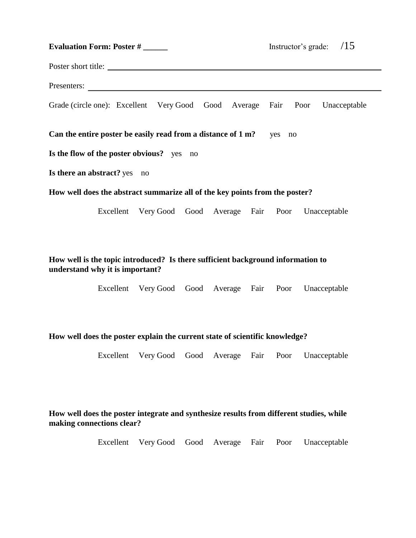| <b>Evaluation Form: Poster #</b>                                            |  |                                                         |  |  | Instructor's grade: $/15$ |  |  |
|-----------------------------------------------------------------------------|--|---------------------------------------------------------|--|--|---------------------------|--|--|
| Poster short title:                                                         |  |                                                         |  |  |                           |  |  |
|                                                                             |  |                                                         |  |  |                           |  |  |
| Grade (circle one): Excellent Very Good Good Average Fair Poor Unacceptable |  |                                                         |  |  |                           |  |  |
| Can the entire poster be easily read from a distance of 1 m?<br>yes no      |  |                                                         |  |  |                           |  |  |
| Is the flow of the poster obvious? yes no                                   |  |                                                         |  |  |                           |  |  |
| Is there an abstract? yes no                                                |  |                                                         |  |  |                           |  |  |
| How well does the abstract summarize all of the key points from the poster? |  |                                                         |  |  |                           |  |  |
|                                                                             |  | Excellent Very Good Good Average Fair Poor Unacceptable |  |  |                           |  |  |

# **How well is the topic introduced? Is there sufficient background information to understand why it is important?**

Excellent Very Good Good Average Fair Poor Unacceptable

### **How well does the poster explain the current state of scientific knowledge?**

Excellent Very Good Good Average Fair Poor Unacceptable

## **How well does the poster integrate and synthesize results from different studies, while making connections clear?**

Excellent Very Good Good Average Fair Poor Unacceptable